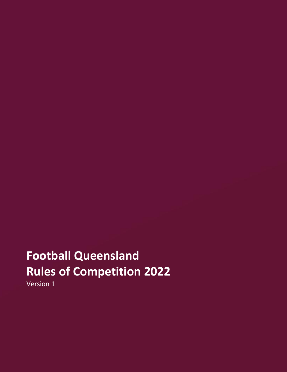# **Football Queensland Rules of Competition 2022**

Version 1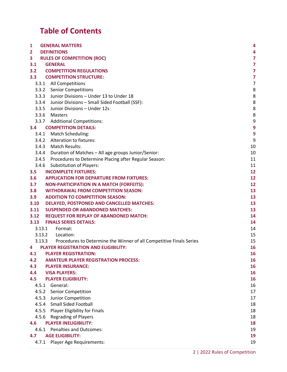## **Table of Contents**

| 1                | <b>GENERAL MATTERS</b>                                                                         | 4                   |
|------------------|------------------------------------------------------------------------------------------------|---------------------|
| $\mathbf{2}$     | <b>DEFINITIONS</b>                                                                             | 4                   |
| 3                | <b>RULES OF COMPETITION (ROC)</b>                                                              | $\overline{7}$      |
| 3.1              | <b>GENERAL</b>                                                                                 | $\overline{7}$      |
| 3.2              | <b>COMPETITION REGULATIONS</b>                                                                 | $\overline{7}$      |
| 3.3 <sub>2</sub> | <b>COMPETITION STRUCTURE:</b>                                                                  | $\overline{7}$      |
|                  | 3.3.1 All Competitions                                                                         | $\overline{7}$<br>8 |
|                  | 3.3.2 Senior Competitions<br>3.3.3 Junior Divisions - Under 13 to Under 18                     | 8                   |
|                  | 3.3.4 Junior Divisions - Small Sided Football (SSF):                                           | 8                   |
|                  | 3.3.5 Junior Divisions - Under 12s                                                             | 8                   |
|                  | 3.3.6 Masters                                                                                  | 8                   |
|                  | 3.3.7 Additional Competitions:                                                                 | 9                   |
| 3.4              | <b>COMPETITION DETAILS:</b>                                                                    | 9                   |
|                  | 3.4.1 Match Scheduling:                                                                        | 9                   |
|                  | 3.4.2 Alteration to fixtures:                                                                  | 9                   |
|                  | 3.4.3 Match Results:                                                                           | 10                  |
|                  | 3.4.4 Duration of Matches - All age groups Junior/Senior:                                      | 10                  |
|                  | 3.4.5 Procedures to Determine Placing after Regular Season:                                    | 11                  |
|                  | 3.4.6 Substitution of Players:                                                                 | 11                  |
| 3.5              | <b>INCOMPLETE FIXTURES:</b>                                                                    | 12                  |
| 3.6              | <b>APPLICATION FOR DEPARTURE FROM FIXTURES:</b>                                                | 12                  |
| 3.7              | <b>NON-PARTICIPATION IN A MATCH (FORFEITS):</b>                                                | 12                  |
| 3.8              | <b>WITHDRAWAL FROM COMPETITION SEASON:</b>                                                     | 13                  |
| 3.9              | <b>ADDITION TO COMPETITION SEASON:</b>                                                         | 13                  |
| 3.10             | <b>DELAYED, POSTPONED AND CANCELLED MATCHES:</b>                                               | 13                  |
| 3.11             | <b>SUSPENDED OR ABANDONED MATCHES:</b>                                                         | 13                  |
| 3.12             | <b>REQUEST FOR REPLAY OF ABANDONED MATCH:</b>                                                  | 14                  |
| 3.13             | <b>FINALS SERIES DETAILS:</b>                                                                  | 14                  |
|                  | 3.13.1 Format:                                                                                 | 14                  |
|                  | 3.13.2 Location:<br>3.13.3 Procedures to Determine the Winner of all Competitive Finals Series | 15<br>15            |
| 4                | <b>PLAYER REGISTRATION AND ELIGIBILITY:</b>                                                    | 16                  |
| 4.1              | <b>PLAYER REGISTRATION:</b>                                                                    | 16                  |
| 4.2              | <b>AMATEUR PLAYER REGISTRATION PROCESS:</b>                                                    | 16                  |
| 4.3              | <b>PLAYER INSURANCE:</b>                                                                       | 16                  |
| 4.4              | <b>VISA PLAYERS:</b>                                                                           | 16                  |
| 4.5              | <b>PLAYER ELIGIBILITY:</b>                                                                     | 16                  |
| 4.5.1            | General:                                                                                       | 16                  |
| 4.5.2            | <b>Senior Competition</b>                                                                      | 17                  |
| 4.5.3            | Junior Competition                                                                             | 17                  |
| 4.5.4            | <b>Small Sided Football</b>                                                                    | 18                  |
|                  | 4.5.5 Player Eligibility for Finals                                                            | 18                  |
|                  | 4.5.6 Regrading of Players                                                                     | 18                  |
| 4.6              | <b>PLAYER INELIGIBILITY:</b>                                                                   | 18                  |
| 4.6.1            | <b>Penalties and Outcomes:</b>                                                                 | 19                  |
| 4.7              | <b>AGE ELIGIBILITY:</b>                                                                        | 19                  |
| 4.7.1            | Player Age Requirements:                                                                       | 19                  |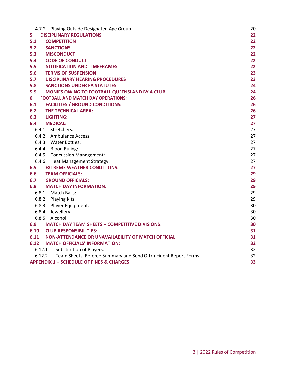| 4.7.2 Playing Outside Designated Age Group                                 | 20 |
|----------------------------------------------------------------------------|----|
| 5<br><b>DISCIPLINARY REGULATIONS</b>                                       | 22 |
| 5.1<br><b>COMPETITION</b>                                                  | 22 |
| 5.2<br><b>SANCTIONS</b>                                                    | 22 |
| 5.3<br><b>MISCONDUCT</b>                                                   | 22 |
| 5.4<br><b>CODE OF CONDUCT</b>                                              | 22 |
| 5.5<br><b>NOTIFICATION AND TIMEFRAMES</b>                                  | 22 |
| 5.6<br><b>TERMS OF SUSPENSION</b>                                          | 23 |
| 5.7<br><b>DISCIPLINARY HEARING PROCEDURES</b>                              | 23 |
| 5.8<br><b>SANCTIONS UNDER FA STATUTES</b>                                  | 24 |
| 5.9<br>MONIES OWING TO FOOTBALL QUEENSLAND BY A CLUB                       | 24 |
| 6<br><b>FOOTBALL AND MATCH DAY OPERATIONS:</b>                             | 26 |
| 6.1<br><b>FACILITIES / GROUND CONDITIONS:</b>                              | 26 |
| 6.2<br><b>THE TECHNICAL AREA:</b>                                          | 26 |
| 6.3<br>LIGHTING:                                                           | 27 |
| 6.4<br><b>MEDICAL:</b>                                                     | 27 |
| 6.4.1 Stretchers:                                                          | 27 |
| 6.4.2 Ambulance Access:                                                    | 27 |
| 6.4.3 Water Bottles:                                                       | 27 |
| 6.4.4 Blood Ruling:                                                        | 27 |
| 6.4.5 Concussion Management:                                               | 27 |
| 6.4.6 Heat Management Strategy:                                            | 27 |
| <b>EXTREME WEATHER CONDITIONS:</b><br>6.5                                  | 27 |
| 6.6<br><b>TEAM OFFICIALS:</b>                                              | 29 |
| 6.7<br><b>GROUND OFFICIALS:</b>                                            | 29 |
| <b>MATCH DAY INFORMATION:</b><br>6.8                                       | 29 |
| 6.8.1 Match Balls:                                                         | 29 |
| 6.8.2 Playing Kits:                                                        | 29 |
| 6.8.3 Player Equipment:                                                    | 30 |
| 6.8.4 Jewellery:                                                           | 30 |
| 6.8.5 Alcohol:                                                             | 30 |
| 6.9<br><b>MATCH DAY TEAM SHEETS - COMPETITIVE DIVISIONS:</b>               | 30 |
| 6.10<br><b>CLUB RESPONSIBILITIES:</b>                                      | 31 |
| 6.11<br><b>NON-ATTENDANCE OR UNAVAILABILITY OF MATCH OFFICIAL:</b>         | 31 |
| <b>MATCH OFFICIALS' INFORMATION:</b><br>6.12                               | 32 |
| <b>Substitution of Players:</b><br>6.12.1                                  | 32 |
| Team Sheets, Referee Summary and Send Off/Incident Report Forms:<br>6.12.2 | 32 |
| <b>APPENDIX 1 - SCHEDULE OF FINES &amp; CHARGES</b>                        | 33 |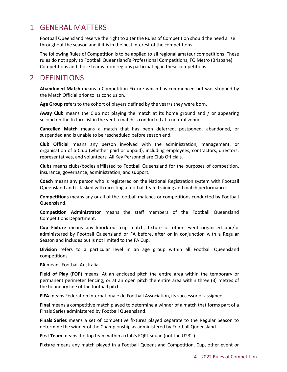### <span id="page-3-0"></span>1 GENERAL MATTERS

Football Queensland reserve the right to alter the Rules of Competition should the need arise throughout the season and if it is in the best interest of the competitions.

The following Rules of Competition is to be applied to all regional amateur competitions. These rules do not apply to Football Queensland's Professional Competitions, FQ Metro (Brisbane) Competitions and those teams from regions participating in these competitions.

### <span id="page-3-1"></span>2 DEFINITIONS

**Abandoned Match** means a Competition Fixture which has commenced but was stopped by the Match Official prior to its conclusion.

**Age Group** refers to the cohort of players defined by the year/s they were born.

**Away Club** means the Club not playing the match at its home ground and / or appearing second on the fixture list in the vent a match is conducted at a neutral venue.

**Cancelled Match** means a match that has been deferred, postponed, abandoned, or suspended and is unable to be rescheduled before season end.

**Club Official** means any person involved with the administration, management, or organisation of a Club (whether paid or unpaid), including employees, contractors, directors, representatives, and volunteers. All Key Personnel are Club Officials.

**Clubs** means clubs/bodies affiliated to Football Queensland for the purposes of competition, insurance, governance, administration, and support.

**Coach** means any person who is registered on the National Registration system with Football Queensland and is tasked with directing a football team training and match performance.

**Competitions** means any or all of the football matches or competitions conducted by Football Queensland.

**Competition Administrator** means the staff members of the Football Queensland Competitions Department.

**Cup Fixture** means any knock-out cup match, fixture or other event organised and/or administered by Football Queensland or FA before, after or in conjunction with a Regular Season and includes but is not limited to the FA Cup.

**Division** refers to a particular level in an age group within all Football Queensland competitions.

**FA** means Football Australia.

**Field of Play (FOP)** means: At an enclosed pitch the entire area within the temporary or permanent perimeter fencing; or at an open pitch the entire area within three (3) metres of the boundary line of the football pitch.

**FIFA** means Federation Internationale de Football Association, its successor or assignee.

**Final** means a competitive match played to determine a winner of a match that forms part of a Finals Series administered by Football Queensland.

**Finals Series** means a set of competitive fixtures played separate to the Regular Season to determine the winner of the Championship as administered by Football Queensland.

**First Team** means the top team within a club's FQPL squad (not the U23's)

**Fixture** means any match played in a Football Queensland Competition, Cup, other event or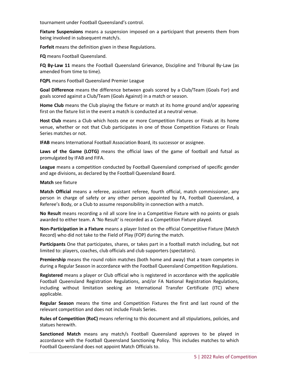tournament under Football Queensland's control.

**Fixture Suspensions** means a suspension imposed on a participant that prevents them from being involved in subsequent match/s.

**Forfeit** means the definition given in these Regulations.

**FQ** means Football Queensland.

**FQ By-Law 11** means the Football Queensland Grievance, Discipline and Tribunal By-Law (as amended from time to time).

**FQPL** means Football Queensland Premier League

**Goal Difference** means the difference between goals scored by a Club/Team (Goals For) and goals scored against a Club/Team (Goals Against) in a match or season.

**Home Club** means the Club playing the fixture or match at its home ground and/or appearing first on the fixture list in the event a match is conducted at a neutral venue.

**Host Club** means a Club which hosts one or more Competition Fixtures or Finals at its home venue, whether or not that Club participates in one of those Competition Fixtures or Finals Series matches or not.

**IFAB** means International Football Association Board, its successor or assignee.

**Laws of the Game (LOTG)** means the official laws of the game of football and futsal as promulgated by IFAB and FIFA.

**League** means a competition conducted by Football Queensland comprised of specific gender and age divisions, as declared by the Football Queensland Board.

**Match** see fixture

**Match Official** means a referee, assistant referee, fourth official, match commissioner, any person in charge of safety or any other person appointed by FA, Football Queensland, a Referee's Body, or a Club to assume responsibility in connection with a match.

**No Result** means recording a nil all score line in a Competitive Fixture with no points or goals awarded to either team. A 'No Result' is recorded as a Competition Fixture played.

**Non-Participation in a Fixture** means a player listed on the official Competitive Fixture (Match Record) who did not take to the Field of Play (FOP) during the match.

**Participants** One that participates, shares, or takes part in a football match including, but not limited to: players, coaches, club officials and club supporters (spectators).

**Premiership** means the round robin matches (both home and away) that a team competes in during a Regular Season in accordance with the Football Queensland Competition Regulations.

**Registered** means a player or Club official who is registered in accordance with the applicable Football Queensland Registration Regulations, and/or FA National Registration Regulations, including without limitation seeking an International Transfer Certificate (ITC) where applicable.

**Regular Season** means the time and Competition Fixtures the first and last round of the relevant competition and does not include Finals Series.

**Rules of Competition (RoC)** means referring to this document and all stipulations, policies, and statues herewith.

**Sanctioned Match** means any match/s Football Queensland approves to be played in accordance with the Football Queensland Sanctioning Policy. This includes matches to which Football Queensland does not appoint Match Officials to.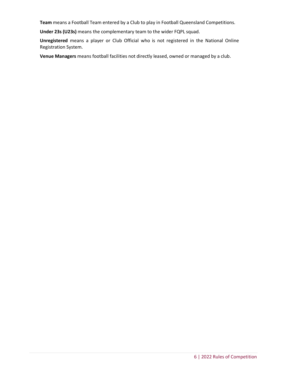**Team** means a Football Team entered by a Club to play in Football Queensland Competitions.

**Under 23s (U23s)** means the complementary team to the wider FQPL squad.

**Unregistered** means a player or Club Official who is not registered in the National Online Registration System.

**Venue Managers** means football facilities not directly leased, owned or managed by a club.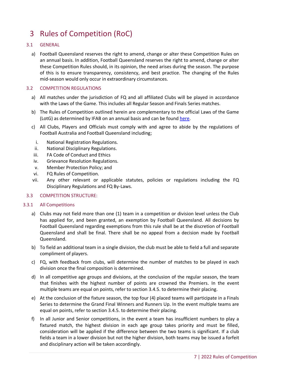# <span id="page-6-0"></span>3 Rules of Competition (RoC)

#### <span id="page-6-1"></span>3.1 GENERAL

a) Football Queensland reserves the right to amend, change or alter these Competition Rules on an annual basis. In addition, Football Queensland reserves the right to amend, change or alter these Competition Rules should, in its opinion, the need arises during the season. The purpose of this is to ensure transparency, consistency, and best practice. The changing of the Rules mid-season would only occur in extraordinary circumstances.

#### <span id="page-6-2"></span>3.2 COMPETITION REGULATIONS

- a) All matches under the jurisdiction of FQ and all affiliated Clubs will be played in accordance with the Laws of the Game. This includes all Regular Season and Finals Series matches.
- b) The Rules of Competition outlined herein are complementary to the official Laws of the Game (LotG) as determined by IFAB on an annual basis and can be foun[d here.](https://resources.fifa.com/image/upload/ifab-laws-of-the-game-2020-21.pdf?cloudid=d6g1medsi8jrrd3e4imp)
- c) All Clubs, Players and Officials must comply with and agree to abide by the regulations of Football Australia and Football Queensland including;
	- i. National Registration Regulations.
- ii. National Disciplinary Regulations.
- iii. FA Code of Conduct and Ethics
- iv. Grievance Resolution Regulations.
- v. Member Protection Policy; and
- vi. FQ Rules of Competition.
- vii. Any other relevant or applicable statutes, policies or regulations including the FQ Disciplinary Regulations and FQ By-Laws.

#### <span id="page-6-3"></span>3.3 COMPETITION STRUCTURE:

#### <span id="page-6-4"></span>3.3.1 All Competitions

- a) Clubs may not field more than one (1) team in a competition or division level unless the Club has applied for, and been granted, an exemption by Football Queensland. All decisions by Football Queensland regarding exemptions from this rule shall be at the discretion of Football Queensland and shall be final. There shall be no appeal from a decision made by Football Queensland.
- b) To field an additional team in a single division, the club must be able to field a full and separate compliment of players.
- c) FQ, with feedback from clubs, will determine the number of matches to be played in each division once the final composition is determined.
- d) In all competitive age groups and divisions, at the conclusion of the regular season, the team that finishes with the highest number of points are crowned the Premiers. In the event multiple teams are equal on points, refer to section 3.4.5. to determine their placing.
- e) At the conclusion of the fixture season, the top four (4) placed teams will participate in a Finals Series to determine the Grand Final Winners and Runners Up. In the event multiple teams are equal on points, refer to section 3.4.5. to determine their placing.
- f) In all Junior and Senior competitions, in the event a team has insufficient numbers to play a fixtured match, the highest division in each age group takes priority and must be filled, consideration will be applied if the difference between the two teams is significant. If a club fields a team in a lower division but not the higher division, both teams may be issued a forfeit and disciplinary action will be taken accordingly.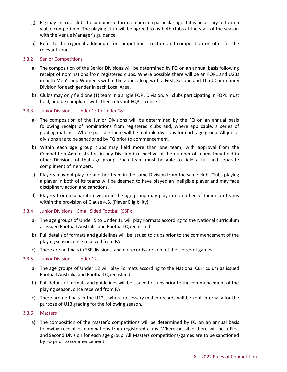- g) FQ may instruct clubs to combine to form a team in a particular age if it is necessary to form a viable competition. The playing strip will be agreed to by both clubs at the start of the season with the Venue Manager's guidance.
- h) Refer to the regional addendum for competition structure and composition on offer for the relevant zone

#### <span id="page-7-0"></span>3.3.2 Senior Competitions

- a) The composition of the Senior Divisions will be determined by FQ on an annual basis following receipt of nominations from registered clubs. Where possible there will be an FQPL and U23s in both Men's and Women's within the Zone, along with a First, Second and Third Community Division for each gender in each Local Area.
- b) Club's may only field one (1) team in a single FQPL Division. All clubs participating in FQPL must hold, and be compliant with, their relevant FQPL license.

#### <span id="page-7-1"></span>3.3.3 Junior Divisions – Under 13 to Under 18

- a) The composition of the Junior Divisions will be determined by the FQ on an annual basis following receipt of nominations from registered clubs and, where applicable, a series of grading matches. Where possible there will be multiple divisions for each age group. All junior divisions are to be sanctioned by FQ prior to commencement.
- b) Within each age group clubs may field more than one team, with approval from the Competition Administrator, in any Division irrespective of the number of teams they field in other Divisions of that age group. Each team must be able to field a full and separate compliment of members.
- c) Players may not play for another team in the same Division from the same club. Clubs playing a player in both of its teams will be deemed to have played an ineligible player and may face disciplinary action and sanctions.
- d) Players from a separate division in the age group may play into another of their club teams within the provision of Clause 4.5. (Player Eligibility).

#### <span id="page-7-2"></span>3.3.4 Junior Divisions – Small Sided Football (SSF):

- a) The age groups of Under 5 to Under 11 will play Formats according to the National curriculum as issued Football Australia and Football Queensland.
- b) Full details of formats and guidelines will be issued to clubs prior to the commencement of the playing season, once received from FA
- <span id="page-7-3"></span>c) There are no finals in SSF divisions, and no records are kept of the scores of games.

#### 3.3.5 Junior Divisions – Under 12s

- a) The age groups of Under 12 will play Formats according to the National Curriculum as issued Football Australia and Football Queensland.
- b) Full details of formats and guidelines will be issued to clubs prior to the commencement of the playing season, once received from FA
- c) There are no finals in the U12s, where necessary match records will be kept internally for the purpose of U13 grading for the following season.

#### <span id="page-7-4"></span>3.3.6 Masters

a) The composition of the master's competitions will be determined by FQ on an annual basis following receipt of nominations from registered clubs. Where possible there will be a First and Second Division for each age group. All Masters competitions/games are to be sanctioned by FQ prior to commencement.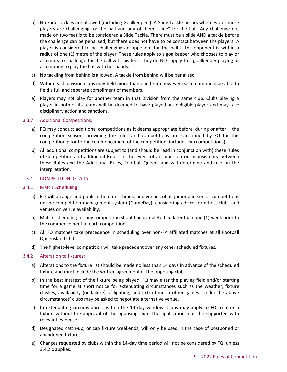- b) No Slide Tackles are allowed (including Goalkeepers). A Slide Tackle occurs when two or more players are challenging for the ball and any of them "slide" for the ball. Any challenge not made on two feet is to be considered a Slide Tackle. There must be a slide AND a tackle before the challenge can be penalised, but there does not have to be contact between the players. A player is considered to be challenging an opponent for the ball if the opponent is within a radius of one (1) metre of the player. These rules apply to a goalkeeper who chooses to play or attempts to challenge for the ball with his feet. They do NOT apply to a goalkeeper playing or attempting to play the ball with her hands.
- c) No tackling from behind is allowed. A tackle from behind will be penalised
- d) Within each division clubs may field more than one team however each team must be able to field a full and separate compliment of members.
- e) Players may not play for another team in that Division from the same club. Clubs playing a player in both of its teams will be deemed to have played an ineligible player and may face disciplinary action and sanctions.

#### <span id="page-8-0"></span>3.3.7 Additional Competitions:

- a) FQ may conduct additional competitions as it deems appropriate before, during or after the competition season, providing the rules and competitions are sanctioned by FQ for this competition prior to the commencement of the competition (includes cup competitions).
- b) All additional competitions are subject to (and should be read in conjunction with) these Rules of Competition and additional Rules. In the event of an omission or inconsistency between these Rules and the Additional Rules, Football Queensland will determine and rule on the interpretation.

#### <span id="page-8-1"></span>3.4 COMPETITION DETAILS:

#### <span id="page-8-2"></span>3.4.1 Match Scheduling:

- a) FQ will arrange and publish the dates, times, and venues of all junior and senior competitions on the competition management system (GameDay), considering advice from host clubs and venues on venue availability;
- b) Match scheduling for any competition should be completed no later than one (1) week prior to the commencement of each competition.
- c) All FQ matches take precedence in scheduling over non-FA affiliated matches at all Football Queensland Clubs.
- <span id="page-8-3"></span>d) The highest-level competition will take precedent over any other scheduled fixtures.

#### 3.4.2 Alteration to fixtures:

- a) Alterations to the fixture list should be made no less than 14 days in advance of the scheduled fixture and must include the written agreement of the opposing club.
- b) In the best interest of the fixture being played, FQ may alter the playing field and/or starting time for a game at short notice for extenuating circumstances such as the weather, fixture clashes, availability (or failure) of lighting, and extra time in other games. Under the above circumstances' clubs may be asked to negotiate alternative venue.
- c) In extenuating circumstances, within the 14 day window, Clubs may apply to FQ to alter a fixture without the approval of the opposing club. The application must be supported with relevant evidence.
- d) Designated catch-up, or cup fixture weekends, will only be used in the case of postponed or abandoned fixtures.
- e) Changes requested by clubs within the 14-day time period will not be considered by FQ, unless 3.4.2.c applies.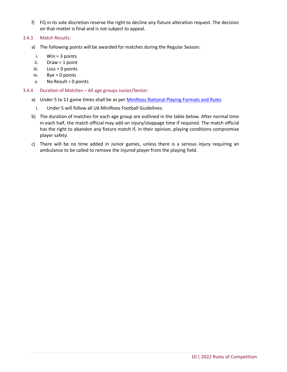f) FQ in its sole discretion reserve the right to decline any fixture alteration request. The decision on that matter is final and is not subject to appeal.

#### <span id="page-9-0"></span>3.4.3 Match Results:

- a) The following points will be awarded for matches during the Regular Season:
	- i. Win = 3 points
- ii. Draw = 1 point
- iii. Loss = 0 points
- iv. Bye = 0 points
- $v.$  No Result = 0 points
- <span id="page-9-1"></span>3.4.4 Duration of Matches – All age groups Junior/Senior:
	- a) Under 5 to 11 game times shall be as per [MiniRoos National Playing Formats and Rules](https://www.playfootball.com.au/sites/play/files/2020-01/Playing-Formats-and-Rules.pdf)
		- i. Under 5 will follow all U6 MiniRoos Football Guidelines.
	- b) The duration of matches for each age group are outlined in the table below. After normal time in each half, the match official may add on injury/stoppage time if required. The match official has the right to abandon any fixture match if, in their opinion, playing conditions compromise player safety.
	- c) There will be no time added in Junior games, unless there is a serious injury requiring an ambulance to be called to remove the injured player from the playing field.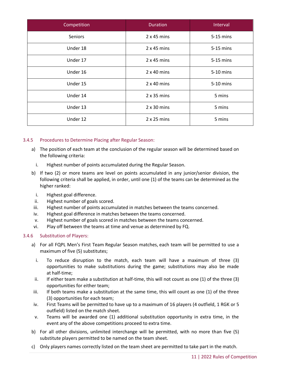| Competition    | <b>Duration</b>    | Interval  |
|----------------|--------------------|-----------|
| <b>Seniors</b> | $2x45$ mins        | 5-15 mins |
| Under 18       | $2x45$ mins        | 5-15 mins |
| Under 17       | $2x45$ mins        | 5-15 mins |
| Under 16       | $2 \times 40$ mins | 5-10 mins |
| Under 15       | $2 \times 40$ mins | 5-10 mins |
| Under 14       | $2 \times 35$ mins | 5 mins    |
| Under 13       | $2 \times 30$ mins | 5 mins    |
| Under 12       | $2 \times 25$ mins | 5 mins    |

#### <span id="page-10-0"></span>3.4.5 Procedures to Determine Placing after Regular Season:

- a) The position of each team at the conclusion of the regular season will be determined based on the following criteria:
	- i. Highest number of points accumulated during the Regular Season.
- b) If two (2) or more teams are level on points accumulated in any junior/senior division, the following criteria shall be applied, in order, until one (1) of the teams can be determined as the higher ranked:
	- i. Highest goal difference.
- ii. Highest number of goals scored.
- iii. Highest number of points accumulated in matches between the teams concerned.
- iv. Highest goal difference in matches between the teams concerned.
- v. Highest number of goals scored in matches between the teams concerned.
- vi. Play off between the teams at time and venue as determined by FQ.

#### <span id="page-10-1"></span>3.4.6 Substitution of Players:

- a) For all FQPL Men's First Team Regular Season matches, each team will be permitted to use a maximum of five (5) substitutes;
	- i. To reduce disruption to the match, each team will have a maximum of three (3) opportunities to make substitutions during the game; substitutions may also be made at half-time;
- ii. If either team make a substitution at half-time, this will not count as one (1) of the three (3) opportunities for either team;
- iii. If both teams make a substitution at the same time, this will count as one (1) of the three (3) opportunities for each team;
- iv. First Teams will be permitted to have up to a maximum of 16 players (4 outfield, 1 RGK or 5 outfield) listed on the match sheet.
- v. Teams will be awarded one (1) additional substitution opportunity in extra time, in the event any of the above competitions proceed to extra time.
- b) For all other divisions, unlimited interchange will be permitted, with no more than five (5) substitute players permitted to be named on the team sheet.
- c) Only players names correctly listed on the team sheet are permitted to take part in the match.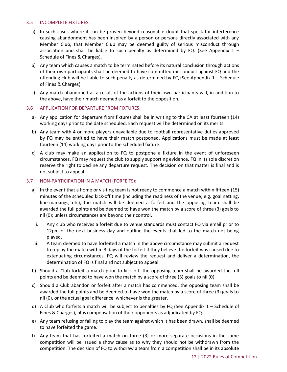#### <span id="page-11-0"></span>3.5 INCOMPLETE FIXTURES:

- a) In such cases where it can be proven beyond reasonable doubt that spectator interference causing abandonment has been inspired by a person or persons directly associated with any Member Club, that Member Club may be deemed guilty of serious misconduct through association and shall be liable to such penalty as determined by FQ. (See Appendix  $1 -$ Schedule of Fines & Charges).
- b) Any team which causes a match to be terminated before its natural conclusion through actions of their own participants shall be deemed to have committed misconduct against FQ and the offending club will be liable to such penalty as determined by FQ (See Appendix 1 – Schedule of Fines & Charges).
- c) Any match abandoned as a result of the actions of their own participants will, in addition to the above, have their match deemed as a forfeit to the opposition.

#### <span id="page-11-1"></span>3.6 APPLICATION FOR DEPARTURE FROM FIXTURES:

- a) Any application for departure from fixtures shall be in writing to the CA at least fourteen (14) working days prior to the date scheduled. Each request will be determined on its merits.
- b) Any team with 4 or more players unavailable due to football representative duties approved by FQ may be entitled to have their match postponed. Applications must be made at least fourteen (14) working days prior to the scheduled fixture.
- c) A club may make an application to FQ to postpone a fixture in the event of unforeseen circumstances. FQ may request the club to supply supporting evidence. FQ in its sole discretion reserve the right to decline any departure request. The decision on that matter is final and is not subject to appeal.

#### <span id="page-11-2"></span>3.7 NON-PARTICIPATION IN A MATCH (FORFEITS):

- a) In the event that a home or visiting team is not ready to commence a match within fifteen (15) minutes of the scheduled kick-off time (including the readiness of the venue; e.g. goal netting, line-markings, etc), the match will be deemed a forfeit and the opposing team shall be awarded the full points and be deemed to have won the match by a score of three (3) goals to nil (0); unless circumstances are beyond their control.
	- i. Any club who receives a forfeit due to venue standards must contact FQ via email prior to 12pm of the next business day and outline the events that led to the match not being played.
- ii. A team deemed to have forfeited a match in the above circumstance may submit a request to replay the match within 3 days of the forfeit if they believe the forfeit was caused due to extenuating circumstances. FQ will review the request and deliver a determination, the determination of FQ is final and not subject to appeal.
- b) Should a Club forfeit a match prior to kick-off, the opposing team shall be awarded the full points and be deemed to have won the match by a score of three (3) goals to nil (0).
- c) Should a Club abandon or forfeit after a match has commenced, the opposing team shall be awarded the full points and be deemed to have won the match by a score of three (3) goals to nil (0), or the actual goal difference, whichever is the greater.
- d) A Club who forfeits a match will be subject to penalties by FQ (See Appendix 1 Schedule of Fines & Charges), plus compensation of their opponents as adjudicated by FQ.
- e) Any team refusing or failing to play the team against which it has been drawn, shall be deemed to have forfeited the game.
- f) Any team that has forfeited a match on three (3) or more separate occasions in the same competition will be issued a show cause as to why they should not be withdrawn from the competition. The decision of FQ to withdraw a team from a competition shall be in its absolute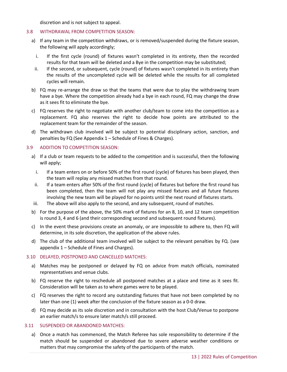discretion and is not subject to appeal.

#### <span id="page-12-0"></span>3.8 WITHDRAWAL FROM COMPETITION SEASON:

- a) If any team in the competition withdraws, or is removed/suspended during the fixture season, the following will apply accordingly;
	- i. If the first cycle (round) of fixtures wasn't completed in its entirety, then the recorded results for that team will be deleted and a Bye in the competition may be substituted;
	- ii. If the second, or subsequent, cycle (round) of fixtures wasn't completed in its entirety than the results of the uncompleted cycle will be deleted while the results for all completed cycles will remain.
- b) FQ may re-arrange the draw so that the teams that were due to play the withdrawing team have a bye. Where the competition already had a bye in each round, FQ may change the draw as it sees fit to eliminate the bye.
- c) FQ reserves the right to negotiate with another club/team to come into the competition as a replacement. FQ also reserves the right to decide how points are attributed to the replacement team for the remainder of the season.
- d) The withdrawn club involved will be subject to potential disciplinary action, sanction, and penalties by FQ (See Appendix 1 – Schedule of Fines & Charges).

#### <span id="page-12-1"></span>3.9 ADDITION TO COMPETITION SEASON:

- a) If a club or team requests to be added to the competition and is successful, then the following will apply;
	- i. If a team enters on or before 50% of the first round (cycle) of fixtures has been played, then the team will replay any missed matches from that round.
- ii. If a team enters after 50% of the first round (cycle) of fixtures but before the first round has been completed, then the team will not play any missed fixtures and all future fixtures involving the new team will be played for no points until the next round of fixtures starts.
- iii. The above will also apply to the second, and any subsequent, round of matches.
- b) For the purpose of the above, the 50% mark of fixtures for an 8, 10, and 12 team competition is round 3, 4 and 6 (and their corresponding second and subsequent round fixtures).
- c) In the event these provisions create an anomaly, or are impossible to adhere to, then FQ will determine, in its sole discretion, the application of the above rules.
- d) The club of the additional team involved will be subject to the relevant penalties by FQ. (see appendix 1 – Schedule of Fines and Charges).

#### <span id="page-12-2"></span>3.10 DELAYED, POSTPONED AND CANCELLED MATCHES:

- a) Matches may be postponed or delayed by FQ on advice from match officials, nominated representatives and venue clubs.
- b) FQ reserve the right to reschedule all postponed matches at a place and time as it sees fit. Consideration will be taken as to where games were to be played.
- c) FQ reserves the right to record any outstanding fixtures that have not been completed by no later than one (1) week after the conclusion of the fixture season as a 0-0 draw.
- d) FQ may decide as its sole discretion and in consultation with the host Club/Venue to postpone an earlier match/s to ensure later match/s still proceed.

#### <span id="page-12-3"></span>3.11 SUSPENDED OR ABANDONED MATCHES:

a) Once a match has commenced, the Match Referee has sole responsibility to determine if the match should be suspended or abandoned due to severe adverse weather conditions or matters that may compromise the safety of the participants of the match.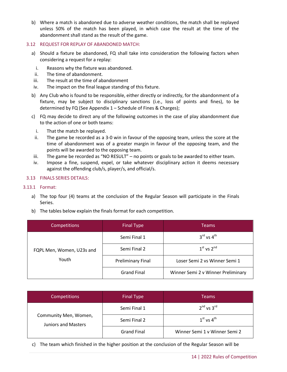b) Where a match is abandoned due to adverse weather conditions, the match shall be replayed unless 50% of the match has been played, in which case the result at the time of the abandonment shall stand as the result of the game.

#### <span id="page-13-0"></span>3.12 REQUEST FOR REPLAY OF ABANDONED MATCH:

- a) Should a fixture be abandoned, FQ shall take into consideration the following factors when considering a request for a replay:
	- i. Reasons why the fixture was abandoned.
- ii. The time of abandonment.
- iii. The result at the time of abandonment
- iv. The impact on the final league standing of this fixture.
- b) Any Club who is found to be responsible, either directly or indirectly, for the abandonment of a fixture, may be subject to disciplinary sanctions (i.e., loss of points and fines), to be determined by FQ (See Appendix 1 – Schedule of Fines & Charges);
- c) FQ may decide to direct any of the following outcomes in the case of play abandonment due to the action of one or both teams:
	- i. That the match be replayed.
- ii. The game be recorded as a 3-0 win in favour of the opposing team, unless the score at the time of abandonment was of a greater margin in favour of the opposing team, and the points will be awarded to the opposing team.
- iii. The game be recorded as "NO RESULT" no points or goals to be awarded to either team.
- iv. Impose a fine, suspend, expel, or take whatever disciplinary action it deems necessary against the offending club/s, player/s, and official/s.

#### <span id="page-13-1"></span>3.13 FINALS SERIES DETAILS:

#### <span id="page-13-2"></span>3.13.1 Format:

- a) The top four (4) teams at the conclusion of the Regular Season will participate in the Finals Series.
- b) The tables below explain the finals format for each competition.

| Competitions                       | <b>Final Type</b>        | <b>Teams</b>                       |  |  |
|------------------------------------|--------------------------|------------------------------------|--|--|
|                                    | Semi Final 1             | $3^{\text{rd}}$ vs $4^{\text{th}}$ |  |  |
| FQPL Men, Women, U23s and<br>Youth | Semi Final 2             | $1st$ vs $2nd$                     |  |  |
|                                    | <b>Preliminary Final</b> | Loser Semi 2 vs Winner Semi 1      |  |  |
|                                    | <b>Grand Final</b>       | Winner Semi 2 v Winner Preliminary |  |  |

| <b>Competitions</b>                                 | <b>Final Type</b>  | Teams                         |
|-----------------------------------------------------|--------------------|-------------------------------|
|                                                     | Semi Final 1       | $2^{nd}$ vs $3^{rd}$          |
| Community Men, Women,<br><b>Juniors and Masters</b> | Semi Final 2       | $1st$ vs $4th$                |
|                                                     | <b>Grand Final</b> | Winner Semi 1 v Winner Semi 2 |

c) The team which finished in the higher position at the conclusion of the Regular Season will be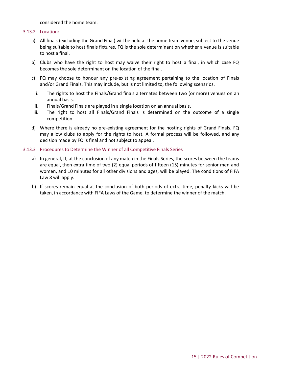considered the home team.

#### <span id="page-14-0"></span>3.13.2 Location:

- a) All finals (excluding the Grand Final) will be held at the home team venue, subject to the venue being suitable to host finals fixtures. FQ is the sole determinant on whether a venue is suitable to host a final.
- b) Clubs who have the right to host may waive their right to host a final, in which case FQ becomes the sole determinant on the location of the final.
- c) FQ may choose to honour any pre-existing agreement pertaining to the location of Finals and/or Grand Finals. This may include, but is not limited to, the following scenarios.
	- i. The rights to host the Finals/Grand finals alternates between two (or more) venues on an annual basis.
- ii. Finals/Grand Finals are played in a single location on an annual basis.
- iii. The right to host all Finals/Grand Finals is determined on the outcome of a single competition.
- d) Where there is already no pre-existing agreement for the hosting rights of Grand Finals. FQ may allow clubs to apply for the rights to host. A formal process will be followed, and any decision made by FQ is final and not subject to appeal.

#### <span id="page-14-1"></span>3.13.3 Procedures to Determine the Winner of all Competitive Finals Series

- a) In general, If, at the conclusion of any match in the Finals Series, the scores between the teams are equal, then extra time of two (2) equal periods of fifteen (15) minutes for senior men and women, and 10 minutes for all other divisions and ages, will be played. The conditions of FIFA Law 8 will apply.
- b) If scores remain equal at the conclusion of both periods of extra time, penalty kicks will be taken, in accordance with FIFA Laws of the Game, to determine the winner of the match.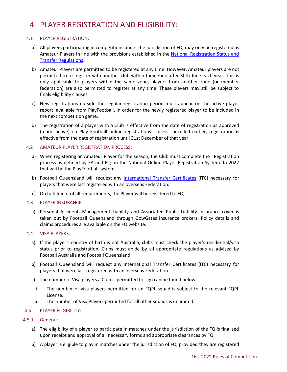### <span id="page-15-0"></span>4 PLAYER REGISTRATION AND ELIGIBILITY:

#### <span id="page-15-1"></span>4.1 PLAYER REGISTRATION:

- a) All players participating in competitions under the jurisdiction of FQ, may only be registered as Amateur Players in line with the provisions established in the National Registration Status and [Transfer Regulations.](https://www.footballaustralia.com.au/sites/ffa/files/2021-11/21-09%20National%20Registration%2C%20Status%20and%20Transfer%20Regulations%20%28Final%29.pdf)
- b) Amateur Players are permitted to be registered at any time. However, Amateur players are not permitted to re-register with another club within their zone after 30th June each year. This is only applicable to players within the same zone, players from another zone (or member federation) are also permitted to register at any time. These players may still be subject to finals eligibility clauses.
- c) New registrations outside the regular registration period must appear on the active player report, available from PlayFootball, in order for the newly registered player to be included in the next competition game.
- d) The registration of a player with a Club is effective from the date of registration as approved (made active) on Play Football online registrations. Unless cancelled earlier, registration is effective from the date of registration until 31st December of that year.

#### <span id="page-15-2"></span>4.2 AMATEUR PLAYER REGISTRATION PROCESS:

- a) When registering an Amateur Player for the season, the Club must complete the Registration process as defined by FA and FQ on the National Online Player Registration System. In 2022 that will be the PlayFootball system.
- b) Football Queensland will request any [International Transfer Certificates](https://www.footballaustralia.com.au/sites/ffa/files/2021-02/Guide%20to%20ITCs%20and%20Minor%20Applications%20%28ITCs%29%20%282021%29%20Final.pdf) (ITC) necessary for players that were last registered with an overseas Federation.
- c) On fulfillment of all requirements, the Player will be registered to FQ.

#### <span id="page-15-3"></span>4.3 PLAYER INSURANCE:

a) Personal Accident, Management Liability and Associated Public Liability Insurance cover is taken out by Football Queensland through GowGates insurance brokers. Policy details and claims procedures are available on the FQ website.

#### <span id="page-15-4"></span>4.4 VISA PLAYERS:

- a) If the player's country of birth is not Australia, clubs must check the player's residential/visa status prior to registration. Clubs must abide by all appropriate regulations as advised by Football Australia and Football Queensland;
- b) Football Queensland will request any International Transfer Certificates (ITC) necessary for players that were last registered with an overseas Federation.
- c) The number of Visa players a Club is permitted to sign can be found below.
	- i. The number of visa players permitted for an FQPL squad is subject to the relevant FQPL License.
	- ii. The number of Visa Players permitted for all other squads is unlimited.

#### <span id="page-15-5"></span>4.5 PLAYER ELIGIBILITY:

- <span id="page-15-6"></span>4.5.1 General:
	- a) The eligibility of a player to participate in matches under the jurisdiction of the FQ is finalised upon receipt and approval of all necessary forms and appropriate clearances by FQ;
	- b) A player is eligible to play in matches under the jurisdiction of FQ, provided they are registered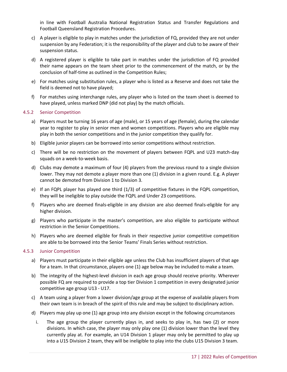in line with Football Australia National Registration Status and Transfer Regulations and Football Queensland Registration Procedures.

- c) A player is eligible to play in matches under the jurisdiction of FQ, provided they are not under suspension by any Federation; it is the responsibility of the player and club to be aware of their suspension status.
- d) A registered player is eligible to take part in matches under the jurisdiction of FQ provided their name appears on the team sheet prior to the commencement of the match, or by the conclusion of half-time as outlined in the Competition Rules;
- e) For matches using substitution rules, a player who is listed as a Reserve and does not take the field is deemed not to have played;
- f) For matches using interchange rules, any player who is listed on the team sheet is deemed to have played, unless marked DNP (did not play) by the match officials.

#### <span id="page-16-0"></span>4.5.2 Senior Competition

- a) Players must be turning 16 years of age (male), or 15 years of age (female), during the calendar year to register to play in senior men and women competitions. Players who are eligible may play in both the senior competitions and in the junior competition they qualify for.
- b) Eligible junior players can be borrowed into senior competitions without restriction.
- c) There will be no restriction on the movement of players between FQPL and U23 match-day squads on a week-to-week basis.
- d) Clubs may demote a maximum of four (4) players from the previous round to a single division lower. They may not demote a player more than one (1) division in a given round. E.g. A player cannot be demoted from Division 1 to Division 3.
- e) If an FQPL player has played one third (1/3) of competitive fixtures in the FQPL competition, they will be ineligible to play outside the FQPL and Under 23 competitions.
- f) Players who are deemed finals-eligible in any division are also deemed finals-eligible for any higher division.
- g) Players who participate in the master's competition, are also eligible to participate without restriction in the Senior Competitions.
- h) Players who are deemed eligible for finals in their respective junior competitive competition are able to be borrowed into the Senior Teams' Finals Series without restriction.

#### <span id="page-16-1"></span>4.5.3 Junior Competition

- a) Players must participate in their eligible age unless the Club has insufficient players of that age for a team. In that circumstance, players one (1) age below may be included to make a team.
- b) The integrity of the highest-level division in each age group should receive priority. Wherever possible FQ are required to provide a top tier Division 1 competition in every designated junior competitive age group U13 - U17.
- c) A team using a player from a lower division/age group at the expense of available players from their own team is in breach of the spirit of this rule and may be subject to disciplinary action.
- d) Players may play up one (1) age group into any division except in the following circumstances
	- i. The age group the player currently plays in, and seeks to play in, has two (2) or more divisions. In which case, the player may only play one (1) division lower than the level they currently play at. For example, an U14 Division 1 player may only be permitted to play up into a U15 Division 2 team, they will be ineligible to play into the clubs U15 Division 3 team.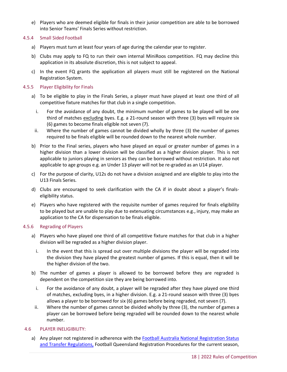- e) Players who are deemed eligible for finals in their junior competition are able to be borrowed into Senior Teams' Finals Series without restriction.
- <span id="page-17-0"></span>4.5.4 Small Sided Football
	- a) Players must turn at least four years of age during the calendar year to register.
	- b) Clubs may apply to FQ to run their own internal MiniRoos competition. FQ may decline this application in its absolute discretion, this is not subject to appeal.
	- c) In the event FQ grants the application all players must still be registered on the National Registration System.

#### <span id="page-17-1"></span>4.5.5 Player Eligibility for Finals

- a) To be eligible to play in the Finals Series, a player must have played at least one third of all competitive fixture matches for that club in a single competition.
	- i. For the avoidance of any doubt, the minimum number of games to be played will be one third of matches excluding byes. E.g. a 21-round season with three (3) byes will require six (6) games to become finals eligible not seven (7).
	- ii. Where the number of games cannot be divided wholly by three (3) the number of games required to be finals eligible will be rounded down to the nearest whole number.
- b) Prior to the Final series, players who have played an equal or greater number of games in a higher division than a lower division will be classified as a higher division player. This is not applicable to juniors playing in seniors as they can be borrowed without restriction. It also not applicable to age groups e.g. an Under 13 player will not be re-graded as an U14 player.
- c) For the purpose of clarity, U12s do not have a division assigned and are eligible to play into the U13 Finals Series.
- d) Clubs are encouraged to seek clarification with the CA if in doubt about a player's finalseligibility status.
- e) Players who have registered with the requisite number of games required for finals eligibility to be played but are unable to play due to extenuating circumstances e.g., injury, may make an application to the CA for dispensation to be finals eligible.

#### <span id="page-17-2"></span>4.5.6 Regrading of Players

- a) Players who have played one third of all competitive fixture matches for that club in a higher division will be regraded as a higher division player.
	- i. In the event that this is spread out over multiple divisions the player will be regraded into the division they have played the greatest number of games. If this is equal, then it will be the higher division of the two.
- b) The number of games a player is allowed to be borrowed before they are regraded is dependent on the competition size they are being borrowed into.
	- i. For the avoidance of any doubt, a player will be regraded after they have played one third of matches, excluding byes, in a higher division. E.g. a 21-round season with three (3) byes allows a player to be borrowed for six (6) games before being regraded, not seven (7).
- ii. Where the number of games cannot be divided wholly by three (3), the number of games a player can be borrowed before being regraded will be rounded down to the nearest whole number.

#### <span id="page-17-3"></span>4.6 PLAYER INELIGIBILITY:

a) Any player not registered in adherence with the [Football Australia National Registration](https://www.footballaustralia.com.au/sites/ffa/files/2021-11/21-09%20National%20Registration%2C%20Status%20and%20Transfer%20Regulations%20%28Final%29.pdf) Status [and Transfer Regulations,](https://www.footballaustralia.com.au/sites/ffa/files/2021-11/21-09%20National%20Registration%2C%20Status%20and%20Transfer%20Regulations%20%28Final%29.pdf) Football Queensland Registration Procedures for the current season,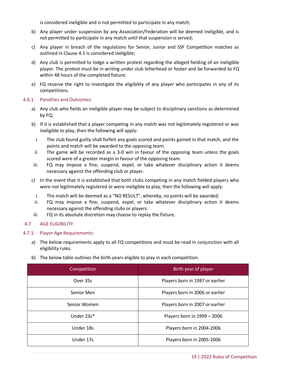is considered ineligible and is not permitted to participate in any match;

- b) Any player under suspension by any Association/Federation will be deemed ineligible, and is not permitted to participate in any match until that suspension is served;
- c) Any player in breach of the regulations for Senior, Junior and SSF Competition matches as outlined in Clause 4.5 is considered ineligible;
- d) Any club is permitted to lodge a written protest regarding the alleged fielding of an ineligible player. The protest must be in writing under club letterhead or footer and be forwarded to FQ within 48 hours of the completed fixture;
- e) FQ reserve the right to investigate the eligibility of any player who participates in any of its competitions.

#### <span id="page-18-0"></span>4.6.1 Penalties and Outcomes:

- a) Any club who fields an ineligible player may be subject to disciplinary sanctions as determined by FQ;
- b) If it is established that a player competing in any match was not legitimately registered or was ineligible to play, then the following will apply:
	- i. The club found guilty shall forfeit any goals scored and points gained in that match, and the points and match will be awarded to the opposing team.
- ii. The game will be recorded as a 3-0 win in favour of the opposing team unless the goals scored were of a greater margin in favour of the opposing team.
- iii. FQ may impose a fine, suspend, expel, or take whatever disciplinary action it deems necessary against the offending club or player.
- c) In the event that it is established that both clubs competing in any match fielded players who were not legitimately registered or were ineligible to play, then the following will apply:
	- i. The match will be deemed as a "NO RESULT", whereby, no points will be awarded;
	- ii. FQ may impose a fine, suspend, expel, or take whatever disciplinary action it deems necessary against the offending clubs or players.
- iii. FQ in its absolute discretion may choose to replay the fixture.

#### <span id="page-18-1"></span>4.7 AGE ELIGIBILITY:

#### <span id="page-18-2"></span>4.7.1 Player Age Requirements:

- a) The below requirements apply to all FQ competitions and must be read in conjunction with all eligibility rules.
- b) The below table outlines the birth years eligible to play in each competition.

| Competition  | Birth year of player            |
|--------------|---------------------------------|
| Over 35s     | Players born in 1987 or earlier |
| Senior Men   | Players born in 2006 or earlier |
| Senior Women | Players born in 2007 or earlier |
| Under 23s*   | Players born in 1999 - 2006     |
| Under 18s    | Players born in 2004-2006       |
| Under 17s    | Players born in 2005-2006       |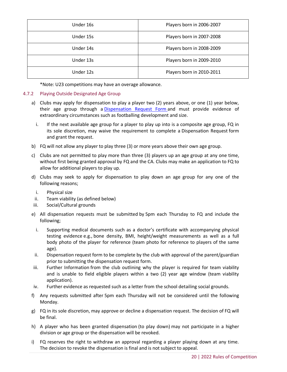| Under 16s | Players born in 2006-2007 |
|-----------|---------------------------|
| Under 15s | Players born in 2007-2008 |
| Under 14s | Players born in 2008-2009 |
| Under 13s | Players born in 2009-2010 |
| Under 12s | Players born in 2010-2011 |

\*Note: U23 competitions may have an overage allowance.

#### <span id="page-19-0"></span>4.7.2 Playing Outside Designated Age Group

- a) Clubs may apply for dispensation to play a player two (2) years above, or one (1) year below, their age group through a [Dispensation Request Form](https://footballqld.formstack.com/forms/2022_dispensation) and must provide evidence of extraordinary circumstances such as footballing development and size.
	- i. If the next available age group for a player to play up into is a composite age group, FQ in its sole discretion, may waive the requirement to complete a Dispensation Request form and grant the request.
- b) FQ will not allow any player to play three (3) or more years above their own age group.
- c) Clubs are not permitted to play more than three (3) players up an age group at any one time, without first being granted approval by FQ and the CA. Clubs may make an application to FQ to allow for additional players to play up.
- d) Clubs may seek to apply for dispensation to play down an age group for any one of the following reasons;
	- i. Physical size
- ii. Team viability (as defined below)
- iii. Social/Cultural grounds
- e) All dispensation requests must be submitted by 5pm each Thursday to FQ and include the following;
	- i. Supporting medical documents such as a doctor's certificate with accompanying physical testing evidence e.g., bone density, BMI, height/weight measurements as well as a full body photo of the player for reference (team photo for reference to players of the same age).
- ii. Dispensation request form to be complete by the club with approval of the parent/guardian prior to submitting the dispensation request form.
- iii. Further Information from the club outlining why the player is required for team viability and is unable to field eligible players within a two (2) year age window (team viability application).
- iv. Further evidence as requested such as a letter from the school detailing social grounds.
- f) Any requests submitted after 5pm each Thursday will not be considered until the following Monday.
- g) FQ in its sole discretion, may approve or decline a dispensation request. The decision of FQ will be final.
- h) A player who has been granted dispensation (to play down) may not participate in a higher division or age group or the dispensation will be revoked.
- i) FQ reserves the right to withdraw an approval regarding a player playing down at any time. The decision to revoke the dispensation is final and is not subject to appeal.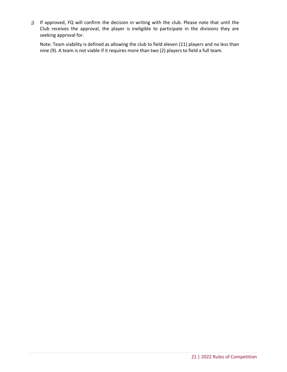j) If approved, FQ will confirm the decision in writing with the club. Please note that until the Club receives the approval, the player is ineligible to participate in the divisions they are seeking approval for.

Note: Team viability is defined as allowing the club to field eleven (11) players and no less than nine (9). A team is not viable if it requires more than two (2) players to field a full team.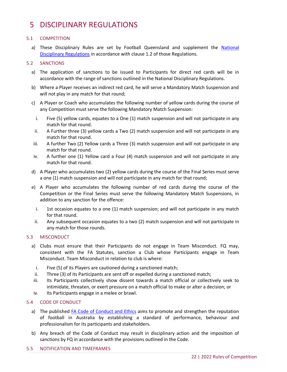### <span id="page-21-0"></span>5 DISCIPLINARY REGULATIONS

#### <span id="page-21-1"></span>5.1 COMPETITION

a) These Disciplinary Rules are set by Football Queensland and supplement the National [Disciplinary Regulations](https://www.footballaustralia.com.au/sites/ffa/files/2020-08/20-02%20National%20Disciplinary%20Regulations%202020%20(Final).pdf) in accordance with clause 1.2 of those Regulations.

#### <span id="page-21-2"></span>5.2 SANCTIONS

- a) The application of sanctions to be issued to Participants for direct red cards will be in accordance with the range of sanctions outlined in the National Disciplinary Regulations.
- b) Where a Player receives an indirect red card, he will serve a Mandatory Match Suspension and will not play in any match for that round;
- c) A Player or Coach who accumulates the following number of yellow cards during the course of any Competition must serve the following Mandatory Match Suspension:
	- i. Five (5) yellow cards, equates to a One (1) match suspension and will not participate in any match for that round.
- ii. A Further three (3) yellow cards a Two (2) match suspension and will not participate in any match for that round.
- iii. A further Two (2) Yellow cards a Three (3) match suspension and will not participate in any match for that round.
- iv. A further one (1) Yellow card a Four (4) match suspension and will not participate in any match for that round.
- d) A Player who accumulates two (2) yellow cards during the course of the Final Series must serve a one (1) match suspension and will not participate in any match for that round;
- e) A Player who accumulates the following number of red cards during the course of the Competition or the Final Series must serve the following Mandatory Match Suspensions, in addition to any sanction for the offence:
	- i. 1st occasion equates to a one (1) match suspension; and will not participate in any match for that round.
	- ii. Any subsequent occasion equates to a two (2) match suspension and will not participate in any match for those rounds.

#### <span id="page-21-3"></span>5.3 MISCONDUCT

- a) Clubs must ensure that their Participants do not engage in Team Misconduct. FQ may, consistent with the FA Statutes, sanction a Club whose Participants engage in Team Misconduct. Team Misconduct in relation to club is where:
	- i. Five (5) of its Players are cautioned during a sanctioned match;
- ii. Three (3) of its Participants are sent off or expelled during a sanctioned match;
- iii. Its Participants collectively show dissent towards a match official or collectively seek to intimidate, threaten, or exert pressure on a match official to make or alter a decision; or
- iv. Its Participants engage in a melee or brawl.

#### <span id="page-21-4"></span>5.4 CODE OF CONDUCT

- a) The published FA [Code of Conduct](https://www.footballaustralia.com.au/sites/ffa/files/2021-04/FA%20Code%20of%20Conduct%20and%20Ethics%20%282021%29.pdf) and Ethics aims to promote and strengthen the reputation of football in Australia by establishing a standard of performance, behaviour and professionalism for its participants and stakeholders.
- b) Any breach of the Code of Conduct may result in disciplinary action and the imposition of sanctions by FQ in accordance with the provisions outlined in the Code.
- <span id="page-21-5"></span>5.5 NOTIFICATION AND TIMEFRAMES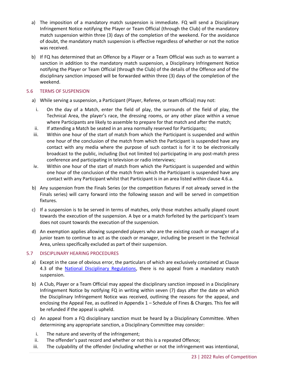- a) The imposition of a mandatory match suspension is immediate. FQ will send a Disciplinary Infringement Notice notifying the Player or Team Official (through the Club) of the mandatory match suspension within three (3) days of the completion of the weekend. For the avoidance of doubt, the mandatory match suspension is effective regardless of whether or not the notice was received.
- b) If FQ has determined that an Offence by a Player or a Team Official was such as to warrant a sanction in addition to the mandatory match suspension, a Disciplinary Infringement Notice notifying the Player or Team Official (through the Club) of the details of the Offence and of the disciplinary sanction imposed will be forwarded within three (3) days of the completion of the weekend.

#### <span id="page-22-0"></span>5.6 TERMS OF SUSPENSION

- a) While serving a suspension, a Participant (Player, Referee, or team official) may not:
	- i. On the day of a Match, enter the field of play, the surrounds of the field of play, the Technical Area, the player's race, the dressing rooms, or any other place within a venue where Participants are likely to assemble to prepare for that match and after the match;
- ii. If attending a Match be seated in an area normally reserved for Participants;
- iii. Within one hour of the start of match from which the Participant is suspended and within one hour of the conclusion of the match from which the Participant is suspended have any contact with any media where the purpose of such contact is for it to be electronically broadcast to the public, including (but not limited to) participating in any post-match press conference and participating in television or radio interviews;
- iv. Within one hour of the start of match from which the Participant is suspended and within one hour of the conclusion of the match from which the Participant is suspended have any contact with any Participant whilst that Participant is in an area listed within clause 4.6.a.
- b) Any suspension from the Finals Series (or the competition fixtures if not already served in the Finals series) will carry forward into the following season and will be served in competition fixtures.
- c) If a suspension is to be served in terms of matches, only those matches actually played count towards the execution of the suspension. A bye or a match forfeited by the participant's team does not count towards the execution of the suspension.
- d) An exemption applies allowing suspended players who are the existing coach or manager of a junior team to continue to act as the coach or manager, including be present in the Technical Area, unless specifically excluded as part of their suspension.

#### <span id="page-22-1"></span>5.7 DISCIPLINARY HEARING PROCEDURES

- a) Except in the case of obvious error, the particulars of which are exclusively contained at Clause 4.3 of the [National Disciplinary Regulations,](https://www.footballaustralia.com.au/sites/ffa/files/2021-11/21-1119%20-%20%20National%20Disciplinary%20Regulations%202021-22%20-%20Final.pdf) there is no appeal from a mandatory match suspension.
- b) A Club, Player or a Team Official may appeal the disciplinary sanction imposed in a Disciplinary Infringement Notice by notifying FQ in writing within seven (7) days after the date on which the Disciplinary Infringement Notice was received, outlining the reasons for the appeal, and enclosing the Appeal Fee, as outlined in Appendix 1 – Schedule of Fines & Charges. This fee will be refunded if the appeal is upheld.
- c) An appeal from a FQ disciplinary sanction must be heard by a Disciplinary Committee. When determining any appropriate sanction, a Disciplinary Committee may consider:
	- i. The nature and severity of the infringement;
- ii. The offender's past record and whether or not this is a repeated Offence;
- iii. The culpability of the offender (including whether or not the infringement was intentional,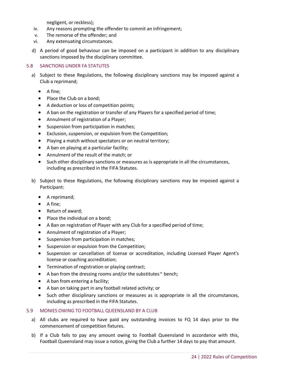negligent, or reckless);

- iv. Any reasons prompting the offender to commit an infringement;
- v. The remorse of the offender; and
- vi. Any extenuating circumstances.
- d) A period of good behaviour can be imposed on a participant in addition to any disciplinary sanctions imposed by the disciplinary committee.

#### <span id="page-23-0"></span>5.8 SANCTIONS UNDER FA STATUTES

- a) Subject to these Regulations, the following disciplinary sanctions may be imposed against a Club a reprimand;
	- $\bullet$  A fine:
	- Place the Club on a bond;
	- A deduction or loss of competition points;
	- A ban on the registration or transfer of any Players for a specified period of time;
	- Annulment of registration of a Player;
	- Suspension from participation in matches;
	- Exclusion, suspension, or expulsion from the Competition;
	- Playing a match without spectators or on neutral territory;
	- A ban on playing at a particular facility;
	- Annulment of the result of the match; or
	- Such other disciplinary sanctions or measures as is appropriate in all the circumstances, including as prescribed in the FIFA Statutes.
- b) Subject to these Regulations, the following disciplinary sanctions may be imposed against a Participant:
	- A reprimand;
	- $\bullet$  A fine;
	- Return of award;
	- Place the individual on a bond;
	- A Ban on registration of Player with any Club for a specified period of time;
	- Annulment of registration of a Player;
	- Suspension from participation in matches;
	- Suspension or expulsion from the Competition;
	- Suspension or cancellation of license or accreditation, including Licensed Player Agent's license or coaching accreditation;
	- **•** Termination of registration or playing contract;
	- A ban from the dressing rooms and/or the substitutes " bench;
	- A ban from entering a facility;
	- A ban on taking part in any football related activity; or
	- Such other disciplinary sanctions or measures as is appropriate in all the circumstances, including as prescribed in the FIFA Statutes.

#### <span id="page-23-1"></span>5.9 MONIES OWING TO FOOTBALL QUEENSLAND BY A CLUB

- a) All clubs are required to have paid any outstanding invoices to FQ 14 days prior to the commencement of competition fixtures.
- b) If a Club fails to pay any amount owing to Football Queensland in accordance with this, Football Queensland may issue a notice, giving the Club a further 14 days to pay that amount.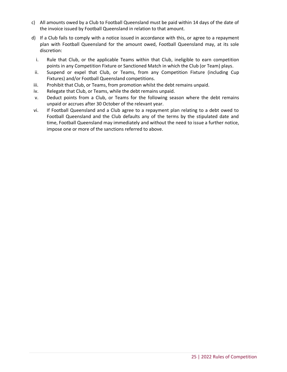- c) All amounts owed by a Club to Football Queensland must be paid within 14 days of the date of the invoice issued by Football Queensland in relation to that amount.
- d) If a Club fails to comply with a notice issued in accordance with this, or agree to a repayment plan with Football Queensland for the amount owed, Football Queensland may, at its sole discretion:
	- i. Rule that Club, or the applicable Teams within that Club, ineligible to earn competition points in any Competition Fixture or Sanctioned Match in which the Club (or Team) plays.
- ii. Suspend or expel that Club, or Teams, from any Competition Fixture (including Cup Fixtures) and/or Football Queensland competitions.
- iii. Prohibit that Club, or Teams, from promotion whilst the debt remains unpaid.
- iv. Relegate that Club, or Teams, while the debt remains unpaid.
- v. Deduct points from a Club, or Teams for the following season where the debt remains unpaid or accrues after 30 October of the relevant year.
- vi. If Football Queensland and a Club agree to a repayment plan relating to a debt owed to Football Queensland and the Club defaults any of the terms by the stipulated date and time, Football Queensland may immediately and without the need to issue a further notice, impose one or more of the sanctions referred to above.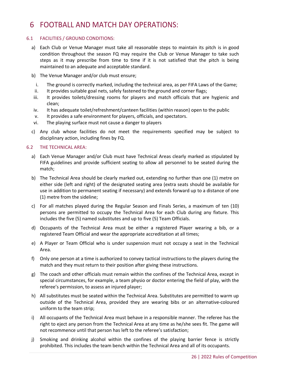### <span id="page-25-0"></span>6 FOOTBALL AND MATCH DAY OPERATIONS:

#### <span id="page-25-1"></span>6.1 FACILITIES / GROUND CONDITIONS:

- a) Each Club or Venue Manager must take all reasonable steps to maintain its pitch is in good condition throughout the season FQ may require the Club or Venue Manager to take such steps as it may prescribe from time to time if it is not satisfied that the pitch is being maintained to an adequate and acceptable standard.
- b) The Venue Manager and/or club must ensure;
- i. The ground is correctly marked, including the technical area, as per FIFA Laws of the Game;
- ii. It provides suitable goal nets, safely fastened to the ground and corner flags;
- iii. It provides toilets/dressing rooms for players and match officials that are hygienic and clean;
- iv. It has adequate toilet/refreshment/canteen facilities (within reason) open to the public
- v. It provides a safe environment for players, officials, and spectators.
- vi. The playing surface must not cause a danger to players
- c) Any club whose facilities do not meet the requirements specified may be subject to disciplinary action, including fines by FQ.

#### <span id="page-25-2"></span>6.2 THE TECHNICAL AREA:

- a) Each Venue Manager and/or Club must have Technical Areas clearly marked as stipulated by FIFA guidelines and provide sufficient seating to allow all personnel to be seated during the match;
- b) The Technical Area should be clearly marked out, extending no further than one (1) metre on either side (left and right) of the designated seating area (extra seats should be available for use in addition to permanent seating if necessary) and extends forward up to a distance of one (1) metre from the sideline;
- c) For all matches played during the Regular Season and Finals Series, a maximum of ten (10) persons are permitted to occupy the Technical Area for each Club during any fixture. This includes the five (5) named substitutes and up to five (5) Team Officials.
- d) Occupants of the Technical Area must be either a registered Player wearing a bib, or a registered Team Official and wear the appropriate accreditation at all times;
- e) A Player or Team Official who is under suspension must not occupy a seat in the Technical Area.
- f) Only one person at a time is authorized to convey tactical instructions to the players during the match and they must return to their position after giving these instructions.
- g) The coach and other officials must remain within the confines of the Technical Area, except in special circumstances, for example, a team physio or doctor entering the field of play, with the referee's permission, to assess an injured player;
- h) All substitutes must be seated within the Technical Area. Substitutes are permitted to warm up outside of the Technical Area, provided they are wearing bibs or an alternative-coloured uniform to the team strip;
- i) All occupants of the Technical Area must behave in a responsible manner. The referee has the right to eject any person from the Technical Area at any time as he/she sees fit. The game will not recommence until that person has left to the referee's satisfaction;
- j) Smoking and drinking alcohol within the confines of the playing barrier fence is strictly prohibited. This includes the team bench within the Technical Area and all of its occupants.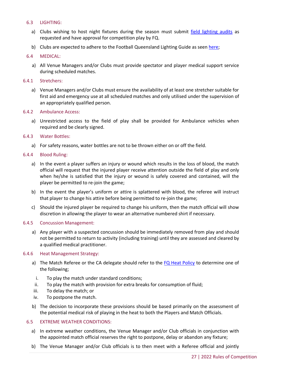#### <span id="page-26-0"></span>6.3 LIGHTING:

- a) Clubs wishing to host night fixtures during the season must submit [field lighting audits](https://footballqueensland.com.au/wp-content/uploads/2021/11/FQ-Lighting-Audit-Form-2022.pdf) as requested and have approval for competition play by FQ.
- b) Clubs are expected to adhere to the Football Queensland Lighting Guide as seen [here;](https://footballqueensland.com.au/wp-content/uploads/2021/02/FQ-Infrastructure-Facility-Guides-Lighting-V3.pdf)

#### <span id="page-26-1"></span>6.4 MEDICAL:

a) All Venue Managers and/or Clubs must provide spectator and player medical support service during scheduled matches.

#### <span id="page-26-2"></span>6.4.1 Stretchers:

a) Venue Managers and/or Clubs must ensure the availability of at least one stretcher suitable for first aid and emergency use at all scheduled matches and only utilised under the supervision of an appropriately qualified person.

#### <span id="page-26-3"></span>6.4.2 Ambulance Access:

a) Unrestricted access to the field of play shall be provided for Ambulance vehicles when required and be clearly signed.

#### <span id="page-26-4"></span>6.4.3 Water Bottles:

a) For safety reasons, water bottles are not to be thrown either on or off the field.

#### <span id="page-26-5"></span>6.4.4 Blood Ruling:

- a) In the event a player suffers an injury or wound which results in the loss of blood, the match official will request that the injured player receive attention outside the field of play and only when he/she is satisfied that the injury or wound is safely covered and contained, will the player be permitted to re-join the game;
- b) In the event the player's uniform or attire is splattered with blood, the referee will instruct that player to change his attire before being permitted to re-join the game;
- c) Should the injured player be required to change his uniform, then the match official will show discretion in allowing the player to wear an alternative numbered shirt if necessary.

#### <span id="page-26-6"></span>6.4.5 Concussion Management:

a) Any player with a suspected concussion should be immediately removed from play and should not be permitted to return to activity (including training) until they are assessed and cleared by a qualified medical practitioner.

#### <span id="page-26-7"></span>6.4.6 Heat Management Strategy:

- a) The Match Referee or the CA delegate should refer to the [FQ Heat Policy](https://footballqueensland.com.au/wp-content/uploads/2018/12/FQ-Heat-Policy-2021.pdf) to determine one of the following;
	- i. To play the match under standard conditions;
- ii. To play the match with provision for extra breaks for consumption of fluid;
- iii. To delay the match; or
- iv. To postpone the match.
- b) The decision to incorporate these provisions should be based primarily on the assessment of the potential medical risk of playing in the heat to both the Players and Match Officials.

#### <span id="page-26-8"></span>6.5 EXTREME WEATHER CONDITIONS:

- a) In extreme weather conditions, the Venue Manager and/or Club officials in conjunction with the appointed match official reserves the right to postpone, delay or abandon any fixture;
- b) The Venue Manager and/or Club officials is to then meet with a Referee official and jointly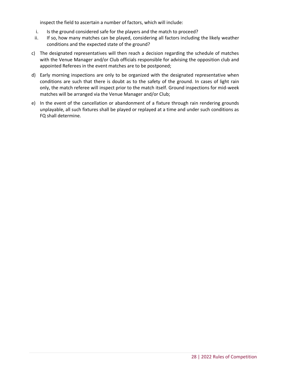inspect the field to ascertain a number of factors, which will include:

- i. Is the ground considered safe for the players and the match to proceed?
- ii. If so, how many matches can be played, considering all factors including the likely weather conditions and the expected state of the ground?
- c) The designated representatives will then reach a decision regarding the schedule of matches with the Venue Manager and/or Club officials responsible for advising the opposition club and appointed Referees in the event matches are to be postponed;
- d) Early morning inspections are only to be organized with the designated representative when conditions are such that there is doubt as to the safety of the ground. In cases of light rain only, the match referee will inspect prior to the match itself. Ground inspections for mid-week matches will be arranged via the Venue Manager and/or Club;
- e) In the event of the cancellation or abandonment of a fixture through rain rendering grounds unplayable, all such fixtures shall be played or replayed at a time and under such conditions as FQ shall determine.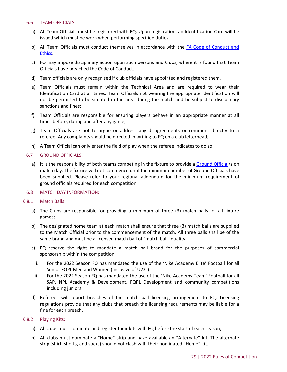#### <span id="page-28-0"></span>6.6 TEAM OFFICIALS:

- a) All Team Officials must be registered with FQ. Upon registration, an Identification Card will be issued which must be worn when performing specified duties;
- b) All Team Officials must conduct themselves in accordance with the [FA Code of Conduct and](https://www.footballaustralia.com.au/sites/ffa/files/2021-04/FA%20Code%20of%20Conduct%20and%20Ethics%20%282021%29.pdf)  [Ethics.](https://www.footballaustralia.com.au/sites/ffa/files/2021-04/FA%20Code%20of%20Conduct%20and%20Ethics%20%282021%29.pdf)
- c) FQ may impose disciplinary action upon such persons and Clubs, where it is found that Team Officials have breached the Code of Conduct.
- d) Team officials are only recognised if club officials have appointed and registered them.
- e) Team Officials must remain within the Technical Area and are required to wear their Identification Card at all times. Team Officials not wearing the appropriate identification will not be permitted to be situated in the area during the match and be subject to disciplinary sanctions and fines;
- f) Team Officials are responsible for ensuring players behave in an appropriate manner at all times before, during and after any game;
- g) Team Officials are not to argue or address any disagreements or comment directly to a referee. Any complaints should be directed in writing to FQ on a club letterhead;
- h) A Team Official can only enter the field of play when the referee indicates to do so.

#### <span id="page-28-1"></span>6.7 GROUND OFFICIALS:

a) It is the responsibility of both teams competing in the fixture to provide a [Ground Official/](https://footballqueensland.com.au/wp-content/uploads/2021/01/FQ-Roles-Responsibilities-of-a-Ground-Official-2021.pdf)s on match day. The fixture will not commence until the minimum number of Ground Officials have been supplied. Please refer to your regional addendum for the minimum requirement of ground officials required for each competition.

#### <span id="page-28-2"></span>6.8 MATCH DAY INFORMATION:

#### <span id="page-28-3"></span>6.8.1 Match Balls:

- a) The Clubs are responsible for providing a minimum of three (3) match balls for all fixture games;
- b) The designated home team at each match shall ensure that three (3) match balls are supplied to the Match Official prior to the commencement of the match. All three balls shall be of the same brand and must be a licensed match ball of "match ball" quality;
- c) FQ reserve the right to mandate a match ball brand for the purposes of commercial sponsorship within the competition.
	- i. For the 2022 Season FQ has mandated the use of the 'Nike Academy Elite' Football for all Senior FQPL Men and Women (inclusive of U23s).
	- ii. For the 2022 Season FQ has mandated the use of the 'Nike Academy Team' Football for all SAP, NPL Academy & Development, FQPL Development and community competitions including juniors.
- d) Referees will report breaches of the match ball licensing arrangement to FQ. Licensing regulations provide that any clubs that breach the licensing requirements may be liable for a fine for each breach.

#### <span id="page-28-4"></span>6.8.2 Playing Kits:

- a) All clubs must nominate and register their kits with FQ before the start of each season;
- b) All clubs must nominate a "Home" strip and have available an "Alternate" kit. The alternate strip (shirt, shorts, and socks) should not clash with their nominated "Home" kit.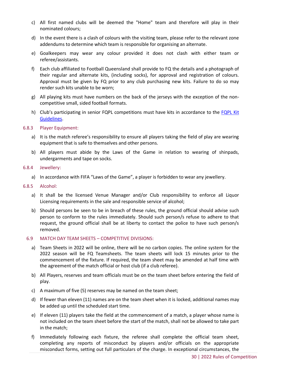- c) All first named clubs will be deemed the "Home" team and therefore will play in their nominated colours;
- d) In the event there is a clash of colours with the visiting team, please refer to the relevant zone addendums to determine which team is responsible for organising an alternate.
- e) Goalkeepers may wear any colour provided it does not clash with either team or referee/assistants.
- f) Each club affiliated to Football Queensland shall provide to FQ the details and a photograph of their regular and alternate kits, (including socks), for approval and registration of colours. Approval must be given by FQ prior to any club purchasing new kits. Failure to do so may render such kits unable to be worn;
- g) All playing kits must have numbers on the back of the jerseys with the exception of the noncompetitive small, sided football formats.
- h) Club's participating in senior FQPL competitions must have kits in accordance to the FQPL Kit [Guidelines.](https://footballqueensland.com.au/wp-content/uploads/2021/11/FQ-On-field-Kit-Guidelines-2022.pdf)

#### <span id="page-29-0"></span>6.8.3 Player Equipment:

- a) It is the match referee's responsibility to ensure all players taking the field of play are wearing equipment that is safe to themselves and other persons.
- b) All players must abide by the Laws of the Game in relation to wearing of shinpads, undergarments and tape on socks.

#### <span id="page-29-1"></span>6.8.4 Jewellery:

- a) In accordance with FIFA "Laws of the Game", a player is forbidden to wear any jewellery.
- <span id="page-29-2"></span>6.8.5 Alcohol:
	- a) It shall be the licensed Venue Manager and/or Club responsibility to enforce all Liquor Licensing requirements in the sale and responsible service of alcohol;
	- b) Should persons be seen to be in breach of these rules, the ground official should advise such person to conform to the rules immediately. Should such person/s refuse to adhere to that request, the ground official shall be at liberty to contact the police to have such person/s removed.

#### <span id="page-29-3"></span>6.9 MATCH DAY TEAM SHEETS – COMPETITIVE DIVISIONS:

- a) Team Sheets in 2022 will be online, there will be no carbon copies. The online system for the 2022 season will be FQ Teamsheets. The team sheets will lock 15 minutes prior to the commencement of the fixture. If required, the team sheet may be amended at half time with the agreement of the match official or host club (if a club referee).
- b) All Players, reserves and team officials must be on the team sheet before entering the field of play.
- c) A maximum of five (5) reserves may be named on the team sheet;
- d) If fewer than eleven (11) names are on the team sheet when it is locked, additional names may be added up until the scheduled start time.
- e) If eleven (11) players take the field at the commencement of a match, a player whose name is not included on the team sheet before the start of the match, shall not be allowed to take part in the match;
- f) Immediately following each fixture, the referee shall complete the official team sheet, completing any reports of misconduct by players and/or officials on the appropriate misconduct forms, setting out full particulars of the charge. In exceptional circumstances, the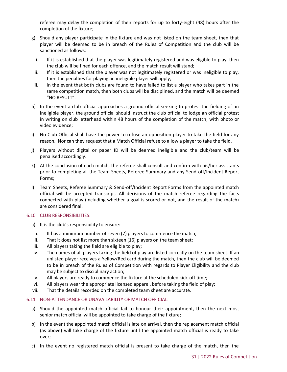referee may delay the completion of their reports for up to forty-eight (48) hours after the completion of the fixture;

- g) Should any player participate in the fixture and was not listed on the team sheet, then that player will be deemed to be in breach of the Rules of Competition and the club will be sanctioned as follows:
	- i. If it is established that the player was legitimately registered and was eligible to play, then the club will be fined for each offence, and the match result will stand;
- ii. If it is established that the player was not legitimately registered or was ineligible to play, then the penalties for playing an ineligible player will apply;
- iii. In the event that both clubs are found to have failed to list a player who takes part in the same competition match, then both clubs will be disciplined, and the match will be deemed "NO RESULT".
- h) In the event a club official approaches a ground official seeking to protest the fielding of an ineligible player, the ground official should instruct the club official to lodge an official protest in writing on club letterhead within 48 hours of the completion of the match, with photo or video evidence;
- i) No Club Official shall have the power to refuse an opposition player to take the field for any reason. Nor can they request that a Match Official refuse to allow a player to take the field.
- j) Players without digital or paper ID will be deemed ineligible and the club/team will be penalised accordingly.
- k) At the conclusion of each match, the referee shall consult and confirm with his/her assistants prior to completing all the Team Sheets, Referee Summary and any Send-off/Incident Report Forms;
- l) Team Sheets, Referee Summary & Send-off/Incident Report Forms from the appointed match official will be accepted transcript. All decisions of the match referee regarding the facts connected with play (including whether a goal is scored or not, and the result of the match) are considered final.

#### <span id="page-30-0"></span>6.10 CLUB RESPONSIBILITIES:

- a) It is the club's responsibility to ensure:
	- i. It has a minimum number of seven (7) players to commence the match;
- ii. That it does not list more than sixteen (16) players on the team sheet;
- iii. All players taking the field are eligible to play;
- iv. The names of all players taking the field of play are listed correctly on the team sheet. If an unlisted player receives a Yellow/Red card during the match, then the club will be deemed to be in breach of the Rules of Competition with regards to Player Eligibility and the club may be subject to disciplinary action;
- v. All players are ready to commence the fixture at the scheduled kick-off time;
- vi. All players wear the appropriate licensed apparel, before taking the field of play;
- vii. That the details recorded on the completed team sheet are accurate.

#### <span id="page-30-1"></span>6.11 NON-ATTENDANCE OR UNAVAILABILITY OF MATCH OFFICIAL:

- a) Should the appointed match official fail to honour their appointment, then the next most senior match official will be appointed to take charge of the fixture;
- b) In the event the appointed match official is late on arrival, then the replacement match official (as above) will take charge of the fixture until the appointed match official is ready to take over;
- c) In the event no registered match official is present to take charge of the match, then the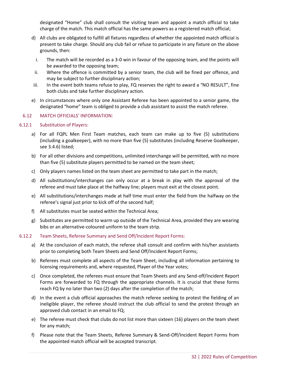designated "Home" club shall consult the visiting team and appoint a match official to take charge of the match. This match official has the same powers as a registered match official;

- d) All clubs are obligated to fulfill all fixtures regardless of whether the appointed match official is present to take charge. Should any club fail or refuse to participate in any fixture on the above grounds, then:
	- i. The match will be recorded as a 3-0 win in favour of the opposing team, and the points will be awarded to the opposing team;
- ii. Where the offence is committed by a senior team, the club will be fined per offence, and may be subject to further disciplinary action;
- iii. In the event both teams refuse to play, FQ reserves the right to award a "NO RESULT", fine both clubs and take further disciplinary action.
- e) In circumstances where only one Assistant Referee has been appointed to a senior game, the designated "home" team is obliged to provide a club assistant to assist the match referee.

#### <span id="page-31-0"></span>6.12 MATCH OFFICIALS' INFORMATION:

#### <span id="page-31-1"></span>6.12.1 Substitution of Players:

- a) For all FQPL Men First Team matches, each team can make up to five (5) substitutions (including a goalkeeper), with no more than five (5) substitutes (including Reserve Goalkeeper, see 3.4.6) listed;
- b) For all other divisions and competitions, unlimited interchange will be permitted, with no more than five (5) substitute players permitted to be named on the team sheet;
- c) Only players names listed on the team sheet are permitted to take part in the match;
- d) All substitutions/interchanges can only occur at a break in play with the approval of the referee and must take place at the halfway line; players must exit at the closest point.
- e) All substitutions/interchanges made at half time must enter the field from the halfway on the referee's signal just prior to kick off of the second half;
- f) All substitutes must be seated within the Technical Area;
- g) Substitutes are permitted to warm up outside of the Technical Area, provided they are wearing bibs or an alternative-coloured uniform to the team strip.

#### <span id="page-31-2"></span>6.12.2 Team Sheets, Referee Summary and Send Off/Incident Report Forms:

- a) At the conclusion of each match, the referee shall consult and confirm with his/her assistants prior to completing both Team Sheets and Send Off/Incident Report Forms;
- b) Referees must complete all aspects of the Team Sheet, including all information pertaining to licensing requirements and, where requested, Player of the Year votes;
- c) Once completed, the referees must ensure that Team Sheets and any Send-off/Incident Report Forms are forwarded to FQ through the appropriate channels. It is crucial that these forms reach FQ by no later than two (2) days after the completion of the match;
- d) In the event a club official approaches the match referee seeking to protest the fielding of an ineligible player, the referee should instruct the club official to send the protest through an approved club contact in an email to FQ;
- e) The referee must check that clubs do not list more than sixteen (16) players on the team sheet for any match;
- f) Please note that the Team Sheets, Referee Summary & Send-Off/Incident Report Forms from the appointed match official will be accepted transcript.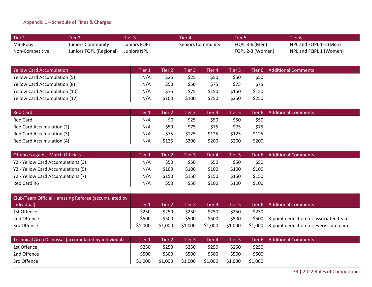#### Appendix 1 – Schedule of Fines & Charges

| $\blacksquare$ Tier 1 | Tier 2                  | Tier 3       | Tier 4            | Tier 5.               | Tier 6'                |
|-----------------------|-------------------------|--------------|-------------------|-----------------------|------------------------|
| MiniRoos              | Juniors Community       | Juniors FQPL | Seniors Community | <b>FQPL 3-6 (Men)</b> | NPL and FQPL 1-2 (Men) |
| Non-Competitive       | Juniors FQPL (Regional) | Juniors NPL  |                   | FQPL 2-3 (Women)      | NPL and FQPL 1 (Women) |

| <b>Yellow Card Accumulation</b>      | <b>Tier</b> | Tier 2' | Tier 3 | Tier 4' | Tier 5 |       | Tier 6 Additional Comments |
|--------------------------------------|-------------|---------|--------|---------|--------|-------|----------------------------|
| <b>Yellow Card Accumulation (5)</b>  | N/A         | \$25    | \$25   | \$50    | \$50   | \$50  |                            |
| <b>Yellow Card Accumulation (8)</b>  | N/A         | \$50    | \$50   | \$75    | \$75   | \$75  |                            |
| <b>Yellow Card Accumulation (10)</b> | N/A         | \$75    | \$75   | \$150   | \$150  | \$150 |                            |
| <b>Yellow Card Accumulation (12)</b> | N/A         | \$100   | \$100  | \$250   | \$250  | \$250 |                            |

<span id="page-32-0"></span>

| <b>Red Card</b>           | Tier 1 | Tier 2 | Tier 3 | Tier 4 | Tier 5 |       | Tier 6 Additional Comments |
|---------------------------|--------|--------|--------|--------|--------|-------|----------------------------|
| <b>Red Card</b>           | N/A    | \$0    | \$25   | \$50   | \$50   | \$50  |                            |
| Red Card Accumulation (2) | N/A    | \$50   | \$75   | \$75   | \$75   | \$75  |                            |
| Red Card Accumulation (3) | N/A    | \$75   | \$125  | \$125  | \$125  | \$125 |                            |
| Red Card Accumulation (4) | N/A    | \$125  | \$200  | \$200  | \$200  | \$200 |                            |

| Offences against Match Officials   | Tier 1 | Tier 2 | Tier 3 | Tier 4 | Tier 5 |       | Tier 6 Additional Comments |
|------------------------------------|--------|--------|--------|--------|--------|-------|----------------------------|
| Y2 - Yellow Card Accumulations (3) | N/A    | \$50   | \$50   | \$50   | \$50   | \$50  |                            |
| Y2 - Yellow Card Accumulations (5) | N/A    | \$100  | \$100  | \$100  | \$100  | \$100 |                            |
| Y2 - Yellow Card Accumulations (7) | N/A    | \$150  | \$150  | \$150  | \$150  | \$150 |                            |
| Red Card R6                        | N/A    | \$50   | \$50   | \$100  | \$100  | \$100 |                            |

| Club/Team Official Harassing Referee (accumulated by |         |         |         |         |         |       |                                               |
|------------------------------------------------------|---------|---------|---------|---------|---------|-------|-----------------------------------------------|
| individual)                                          | Tier 1  | Fier 2  | Tier 3  | Tier 4  | Tier 5  |       | Tier 6 Additional Comments                    |
| 1st Offence                                          | \$250   | \$250   | \$250   | \$250   | \$250   | \$250 |                                               |
| 2nd Offence                                          | \$500   | \$500   | \$500   | \$500   | \$500   |       | \$500 3-point deduction for associated team   |
| 3rd Offence                                          | \$1,000 | \$1,000 | \$1,000 | \$1,000 | \$1,000 |       | \$1,000 3-point deduction for every club team |

| Technical Area Dismissal (accumulated by individual) | Tier 1  | Tier 2  | Tier 3  | Tier 4  | Tier 5  |         | Tier 6 Additional Comments |
|------------------------------------------------------|---------|---------|---------|---------|---------|---------|----------------------------|
| 1st Offence                                          | \$250   | \$250   | \$250   | \$250   | \$250   | \$250   |                            |
| 2nd Offence                                          | \$500   | \$500   | \$500   | \$500   | \$500   | \$500   |                            |
| 3rd Offence                                          | \$1,000 | \$1,000 | \$1,000 | \$1,000 | \$1,000 | \$1,000 |                            |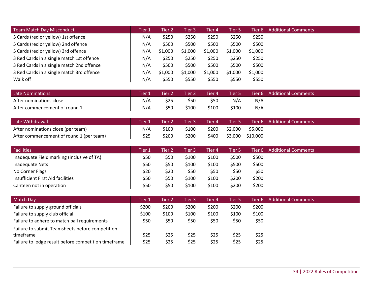| Team Match Day Misconduct                 | Tier 1 | Tier 2  | Tier 3  | Tier 4  | Tier 5  | Tier 6 l | <b>Additional Comments</b> |
|-------------------------------------------|--------|---------|---------|---------|---------|----------|----------------------------|
| 5 Cards (red or yellow) 1st offence       | N/A    | \$250   | \$250   | \$250   | \$250   | \$250    |                            |
| 5 Cards (red or yellow) 2nd offence       | N/A    | \$500   | \$500   | \$500   | \$500   | \$500    |                            |
| 5 Cards (red or yellow) 3rd offence       | N/A    | \$1,000 | \$1,000 | \$1,000 | \$1,000 | \$1,000  |                            |
| 3 Red Cards in a single match 1st offence | N/A    | \$250   | \$250   | \$250   | \$250   | \$250    |                            |
| 3 Red Cards in a single match 2nd offence | N/A    | \$500   | \$500   | \$500   | \$500   | \$500    |                            |
| 3 Red Cards in a single match 3rd offence | N/A    | \$1,000 | \$1,000 | \$1,000 | \$1,000 | \$1,000  |                            |
| Walk off                                  | N/A    | \$550   | \$550   | \$550   | \$550   | \$550    |                            |
|                                           |        |         |         |         |         |          |                            |
| Late Nominations                          | Tier 1 | Tier 2  | Tier 3. | Tier 4  | Tier 5  | Tier 6 – | <b>Additional Comments</b> |

| Late Nominations              | Tier 1 | Tier 2 | Tier 3 | Tier 4 | Tier 5 |     | Tier 6 Additional Comments |
|-------------------------------|--------|--------|--------|--------|--------|-----|----------------------------|
| After nominations close       | N/A    | \$25   | \$50   | \$50   | N/A    | N/A |                            |
| After commencement of round 1 | N/A    | \$50   | \$100  | \$100  | \$100  | N/A |                            |

| Late Withdrawal                          | Tier 1 | Tier 2 | ا Tier 3 | Tier 4 |         |                  | Tier 5 Tier 6 Additional Comments |
|------------------------------------------|--------|--------|----------|--------|---------|------------------|-----------------------------------|
| After nominations close (per team)       | N/A    | \$100  | \$100    | \$200  | \$2.000 | \$5,000          |                                   |
| After commencement of round 1 (per team) | \$25   | \$200  | \$200    | \$400  |         | \$3,000 \$10,000 |                                   |

| <b>Facilities</b>                          | Tier 1 | Tier 2' | Tier 3 | Tier 4 | Tier 5 | Tier 6 | <b>Additional Comments</b> |
|--------------------------------------------|--------|---------|--------|--------|--------|--------|----------------------------|
| Inadequate Field marking (inclusive of TA) | \$50   | \$50    | \$100  | \$100  | \$500  | \$500  |                            |
| Inadequate Nets                            | \$50   | \$50    | \$100  | \$100  | \$500  | \$500  |                            |
| No Corner Flags                            | \$20   | \$20    | \$50   | \$50   | \$50   | \$50   |                            |
| Insufficient First Aid facilities          | \$50   | \$50    | \$100  | \$100  | \$200  | \$200  |                            |
| Canteen not in operation                   | \$50   | \$50    | \$100  | \$100  | \$200  | \$200  |                            |

| Match Day                                            | Tier 1 | Tier 2' | Tier 3 | Tier 4 | Tier 5 | Tier 6 | <b>Additional Comments</b> |
|------------------------------------------------------|--------|---------|--------|--------|--------|--------|----------------------------|
| Failure to supply ground officials                   | \$200  | \$200   | \$200  | \$200  | \$200  | \$200  |                            |
| Failure to supply club official                      | \$100  | \$100   | \$100  | \$100  | \$100  | \$100  |                            |
| Failure to adhere to match ball requirements         | \$50   | \$50    | \$50   | \$50   | \$50   | \$50   |                            |
| Failure to submit Teamsheets before competition      |        |         |        |        |        |        |                            |
| timeframe                                            | \$25   | \$25    | \$25   | \$25   | \$25   | \$25   |                            |
| Failure to lodge result before competition timeframe | \$25   | \$25    | \$25   | \$25   | \$25   | \$25   |                            |